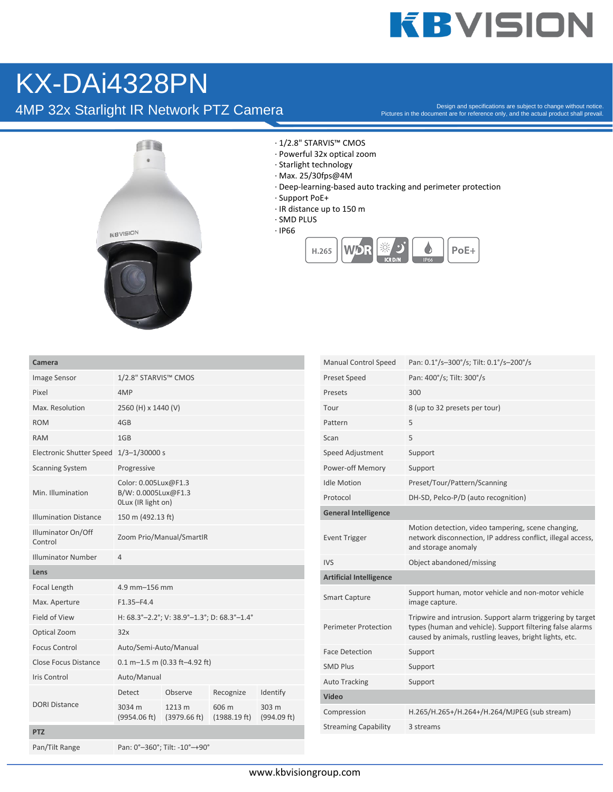## **KBVISION**

### KX-DAi4328PN

4MP 32x Starlight IR Network PTZ Camera

Pictures in the document are for reference only, and the actual product shall prevail.



· 1/2.8" STARVIS™ CMOS

- · Powerful 32x optical zoom
- · Starlight technology
- · Max. 25/30fps@4M
- · Deep-learning-based auto tracking and perimeter protection
- · Support PoE+
- · IR distance up to 150 m
- · SMD PLUS
- · IP66



| Camera                          |                                                                   |                               |                                 |                      |
|---------------------------------|-------------------------------------------------------------------|-------------------------------|---------------------------------|----------------------|
| Image Sensor                    | 1/2.8" STARVIS™ CMOS                                              |                               |                                 |                      |
| Pixel                           | 4MP                                                               |                               |                                 |                      |
| Max. Resolution                 | 2560 (H) x 1440 (V)                                               |                               |                                 |                      |
| <b>ROM</b>                      | 4GB                                                               |                               |                                 |                      |
| <b>RAM</b>                      | 1GB                                                               |                               |                                 |                      |
| <b>Electronic Shutter Speed</b> | $1/3 - 1/30000 s$                                                 |                               |                                 |                      |
| <b>Scanning System</b>          | Progressive                                                       |                               |                                 |                      |
| Min. Illumination               | Color: 0.005Lux@F1.3<br>B/W: 0.0005Lux@F1.3<br>OLux (IR light on) |                               |                                 |                      |
| <b>Illumination Distance</b>    | 150 m (492.13 ft)                                                 |                               |                                 |                      |
| Illuminator On/Off<br>Control   | Zoom Prio/Manual/SmartIR                                          |                               |                                 |                      |
| <b>Illuminator Number</b>       | $\overline{4}$                                                    |                               |                                 |                      |
| Lens                            |                                                                   |                               |                                 |                      |
| Focal Length                    | 4.9 mm-156 mm                                                     |                               |                                 |                      |
| Max. Aperture                   | $F1.35 - F4.4$                                                    |                               |                                 |                      |
| Field of View                   | H: 68.3°-2.2°; V: 38.9°-1.3°; D: 68.3°-1.4°                       |                               |                                 |                      |
| Optical Zoom                    | 32x                                                               |                               |                                 |                      |
| <b>Focus Control</b>            | Auto/Semi-Auto/Manual                                             |                               |                                 |                      |
| <b>Close Focus Distance</b>     | $0.1 m - 1.5 m (0.33 ft - 4.92 ft)$                               |                               |                                 |                      |
| <b>Iris Control</b>             | Auto/Manual                                                       |                               |                                 |                      |
| <b>DORI Distance</b>            | Detect                                                            | Observe                       | Recognize                       | Identify             |
|                                 | 3034 m<br>(9954.06 ft)                                            | 1213 m<br>(3979.66 ft)        | 606 m<br>$(1988.19 \text{ ft})$ | 303 m<br>(994.09 ft) |
| <b>PTZ</b>                      |                                                                   |                               |                                 |                      |
| Pan/Tilt Range                  |                                                                   | Pan: 0°-360°; Tilt: -10°-+90° |                                 |                      |

| <b>Manual Control Speed</b>    | Pan: 0.1°/s-300°/s; Tilt: 0.1°/s-200°/s                                                                                                                                            |  |  |  |
|--------------------------------|------------------------------------------------------------------------------------------------------------------------------------------------------------------------------------|--|--|--|
| <b>Preset Speed</b>            | Pan: 400°/s; Tilt: 300°/s                                                                                                                                                          |  |  |  |
| Presets                        | 300                                                                                                                                                                                |  |  |  |
| Tour                           | 8 (up to 32 presets per tour)                                                                                                                                                      |  |  |  |
| Pattern                        | 5                                                                                                                                                                                  |  |  |  |
| Scan                           | 5                                                                                                                                                                                  |  |  |  |
| Speed Adjustment               | Support                                                                                                                                                                            |  |  |  |
| Power-off Memory               | Support                                                                                                                                                                            |  |  |  |
| <b>Idle Motion</b>             | Preset/Tour/Pattern/Scanning                                                                                                                                                       |  |  |  |
| Protocol                       | DH-SD, Pelco-P/D (auto recognition)                                                                                                                                                |  |  |  |
| <b>General Intelligence</b>    |                                                                                                                                                                                    |  |  |  |
| <b>Event Trigger</b>           | Motion detection, video tampering, scene changing,<br>network disconnection, IP address conflict, illegal access,<br>and storage anomaly                                           |  |  |  |
| <b>IVS</b>                     | Object abandoned/missing                                                                                                                                                           |  |  |  |
| <b>Artificial Intelligence</b> |                                                                                                                                                                                    |  |  |  |
| <b>Smart Capture</b>           | Support human, motor vehicle and non-motor vehicle<br>image capture.                                                                                                               |  |  |  |
| <b>Perimeter Protection</b>    | Tripwire and intrusion. Support alarm triggering by target<br>types (human and vehicle). Support filtering false alarms<br>caused by animals, rustling leaves, bright lights, etc. |  |  |  |
| <b>Face Detection</b>          | Support                                                                                                                                                                            |  |  |  |
| <b>SMD Plus</b>                | Support                                                                                                                                                                            |  |  |  |
| <b>Auto Tracking</b>           | Support                                                                                                                                                                            |  |  |  |
| Video                          |                                                                                                                                                                                    |  |  |  |
| Compression                    | H.265/H.265+/H.264+/H.264/MJPEG (sub stream)                                                                                                                                       |  |  |  |
| <b>Streaming Capability</b>    | 3 streams                                                                                                                                                                          |  |  |  |